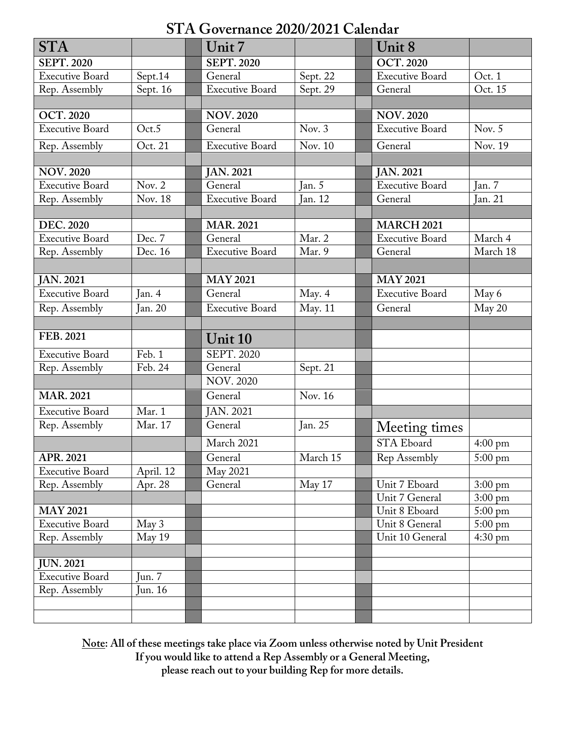# **STA Governance 2020/2021 Calendar**

| <b>STA</b>             |           | Unit 7                 |          | Unit 8                 |                   |
|------------------------|-----------|------------------------|----------|------------------------|-------------------|
| <b>SEPT. 2020</b>      |           | <b>SEPT. 2020</b>      |          | <b>OCT. 2020</b>       |                   |
| <b>Executive Board</b> | Sept.14   | General                | Sept. 22 | <b>Executive Board</b> | Oct. 1            |
| Rep. Assembly          | Sept. 16  | Executive Board        | Sept. 29 | General                | Oct. 15           |
|                        |           |                        |          |                        |                   |
| <b>OCT. 2020</b>       |           | <b>NOV. 2020</b>       |          | <b>NOV.2020</b>        |                   |
| <b>Executive Board</b> | Oct.5     | General                | Nov. $3$ | <b>Executive Board</b> | Nov. $5$          |
| Rep. Assembly          | Oct. 21   | <b>Executive Board</b> | Nov. 10  | General                | Nov. 19           |
|                        |           |                        |          |                        |                   |
| <b>NOV. 2020</b>       |           | <b>JAN. 2021</b>       |          | <b>JAN. 2021</b>       |                   |
| <b>Executive Board</b> | Nov. $2$  | General                | Jan. 5   | <b>Executive Board</b> | Jan. 7            |
| Rep. Assembly          | Nov. 18   | <b>Executive Board</b> | Jan. 12  | General                | Jan. 21           |
|                        |           |                        |          |                        |                   |
| <b>DEC. 2020</b>       |           | <b>MAR. 2021</b>       |          | <b>MARCH 2021</b>      |                   |
| <b>Executive Board</b> | Dec. 7    | General                | Mar. 2   | <b>Executive Board</b> | March 4           |
| Rep. Assembly          | Dec. 16   | <b>Executive Board</b> | Mar. 9   | General                | March 18          |
|                        |           |                        |          |                        |                   |
| <b>JAN. 2021</b>       |           | <b>MAY 2021</b>        |          | <b>MAY 2021</b>        |                   |
| <b>Executive Board</b> | Jan. $4$  | General                | May. 4   | <b>Executive Board</b> | May 6             |
| Rep. Assembly          | Jan. 20   | <b>Executive Board</b> | May. 11  | General                | May 20            |
|                        |           |                        |          |                        |                   |
| FEB. 2021              |           | Unit 10                |          |                        |                   |
| <b>Executive Board</b> | Feb. 1    | <b>SEPT. 2020</b>      |          |                        |                   |
| Rep. Assembly          | Feb. 24   | General                | Sept. 21 |                        |                   |
|                        |           | <b>NOV. 2020</b>       |          |                        |                   |
| <b>MAR. 2021</b>       |           | General                | Nov. 16  |                        |                   |
| <b>Executive Board</b> | Mar. 1    | <b>JAN. 2021</b>       |          |                        |                   |
| Rep. Assembly          | Mar. 17   | General                | Jan. 25  | Meeting times          |                   |
|                        |           | March 2021             |          | STA Eboard             | $4:00 \text{ pm}$ |
| APR. 2021              |           | General                | March 15 | Rep Assembly           | $5:00 \text{ pm}$ |
| <b>Executive Board</b> | April. 12 | May 2021               |          |                        |                   |
| Rep. Assembly          | Apr. 28   | General                | May 17   | Unit 7 Eboard          | $3:00 \text{ pm}$ |
|                        |           |                        |          | Unit 7 General         | $3:00 \text{ pm}$ |
| <b>MAY 2021</b>        |           |                        |          | Unit 8 Eboard          | $5:00 \text{ pm}$ |
| <b>Executive Board</b> | May 3     |                        |          | Unit 8 General         | $5:00 \text{ pm}$ |
| Rep. Assembly          | May 19    |                        |          | Unit 10 General        | $4:30 \text{ pm}$ |
|                        |           |                        |          |                        |                   |
| <b>JUN. 2021</b>       |           |                        |          |                        |                   |
| <b>Executive Board</b> | Jun. $7$  |                        |          |                        |                   |
| Rep. Assembly          | Jun. 16   |                        |          |                        |                   |
|                        |           |                        |          |                        |                   |
|                        |           |                        |          |                        |                   |

**Note: All of these meetings take place via Zoom unless otherwise noted by Unit President If you would like to attend a Rep Assembly or a General Meeting, please reach out to your building Rep for more details.**